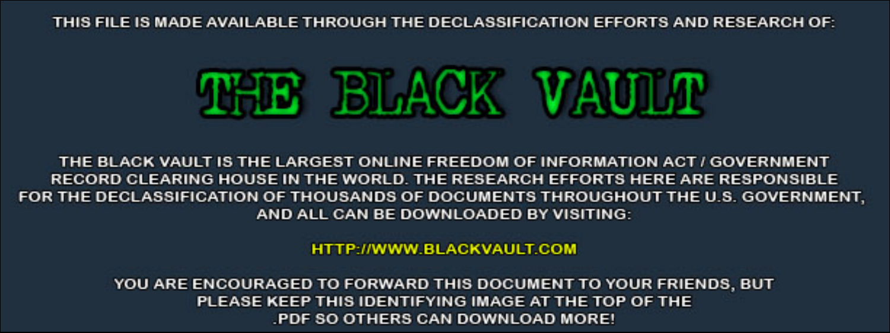THIS FILE IS MADE AVAILABLE THROUGH THE DECLASSIFICATION EFFORTS AND RESEARCH OF:



THE BLACK VAULT IS THE LARGEST ONLINE FREEDOM OF INFORMATION ACT / GOVERNMENT RECORD CLEARING HOUSE IN THE WORLD. THE RESEARCH EFFORTS HERE ARE RESPONSIBLE FOR THE DECLASSIFICATION OF THOUSANDS OF DOCUMENTS THROUGHOUT THE U.S. GOVERNMENT, AND ALL CAN BE DOWNLOADED BY VISITING:

**HTTP://WWW.BLACKVAULT.COM** 

YOU ARE ENCOURAGED TO FORWARD THIS DOCUMENT TO YOUR FRIENDS, BUT PLEASE KEEP THIS IDENTIFYING IMAGE AT THE TOP OF THE PDF SO OTHERS CAN DOWNLOAD MORE!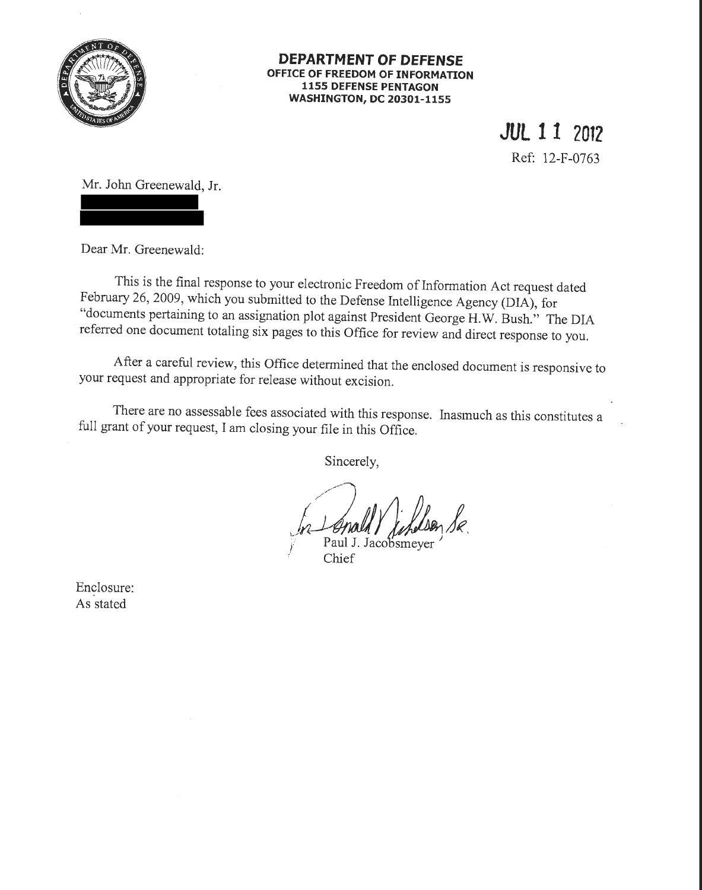

## **DEPARTMENT OF DEFENSE OFFICE OF FREEDOM OF INFORMATION 1155 DEFENSE PENTAGON WASHINGTON, DC 20301-1155**

**JUlll <sup>2012</sup>**

Ref: 12-F-0763

Mr. John Greenewald, Jr.

Dear Mr. Greenewald:

This is the final response to your electronic Freedom of Information Act request dated February 26, 2009, which you submitted to the Defense Intelligence Agency (DIA), for "documents pertaining to an assignation plot against President George H.W. Bush." The DIA referred one document totaling six pages to this Office for review and direct response to you.

After a careful review, this Office determined that the enclosed document is responsive to your request and appropriate for release without excision.

There are no assessable fees associated with this response. Inasmuch as this constitutes a full grant of your request, I am closing your file in this Office.

Sincerely,

<sup>~</sup>*t2i'(J!bt) }'* Paul J. Jaco smeyer *.* 

Chief

Enclosure: As stated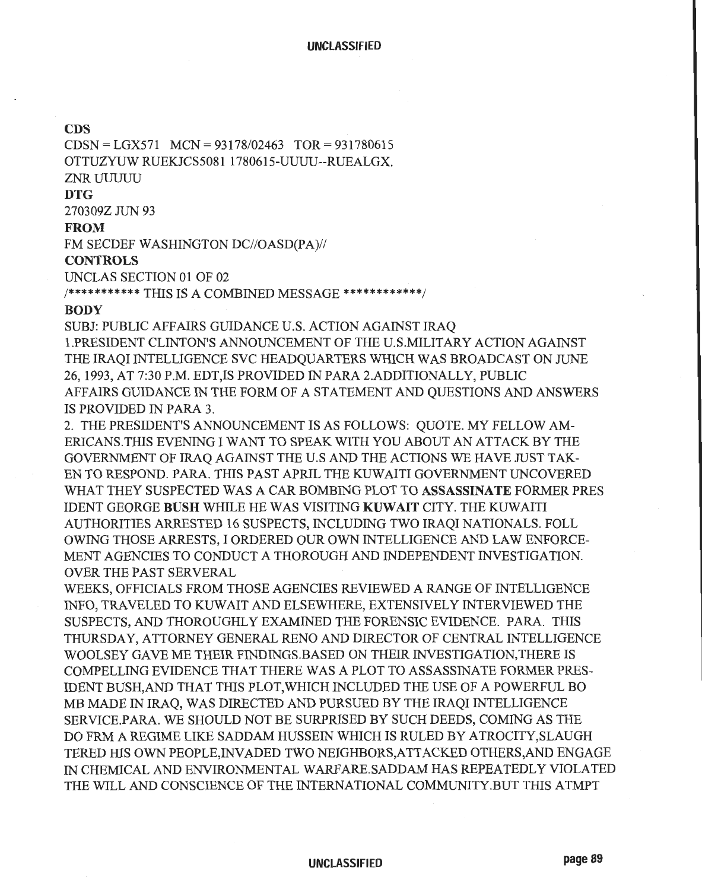## **CDS**

CDSN = LGX571 MCN = 93178/02463 TOR= 931780615 OTTUZYUW RUEKJCS5081 1780615-UUUU--RUEALGX. ZNR UUUUU **DTG**  2703092 JUN 93 **FROM**  FM SECDEF WASHINGTON DC//OASD(PA)// **CONTROLS** 

UNCLAS SECTION 01 OF 02

/\*\*\*\*\*\*\*\*\*\*\* THIS IS A COMBINED MESSAGE \*\*\*\*\*\*\*\*\*\*\*\*/

## **BODY**

SUBJ: PUBLIC AFFAIRS GUIDANCE U.S. ACTION AGAINST IRAQ !.PRESIDENT CLINTON'S ANNOUNCEMENT OF THE U.S.MILITARY ACTION AGAINST THE IRAQI INTELLIGENCE SVC HEADQUARTERS WHICH WAS BROADCAST ON JUNE 26, 1993, AT 7:30P.M. EDT,IS PROVIDED IN PARA 2.ADDITIONALLY, PUBLIC AFFAIRS GUIDANCE IN THE FORM OF A STATEMENT AND QUESTIONS AND ANSWERS IS PROVIDED IN PARA 3.

2. THE PRESIDENT'S ANNOUNCEMENT IS AS FOLLOWS: QUOTE. MY FELLOW AM-ERICANS. THIS EVENING I WANT TO SPEAK WITH YOU ABOUT AN ATTACK BY THE GOVERNMENT OF IRAQ AGAINST THE U.S AND THE ACTIONS WE HAVE WST TAK-EN TO RESPOND. PARA. THIS PAST APRIL THE KUWAITI GOVERNMENT UNCOVERED WHAT THEY SUSPECTED WAS A CAR BOMBING PLOT TO **ASSASSINATE** FORMER PRES IDENT GEORGE **BUSH** WHILE HEW AS VISITING **KUWAIT** CITY. THE KUWAITI AUTHORITIES ARRESTED 16 SUSPECTS, INCLUDING TWO IRAQI NATIONALS. FOLL OWING THOSE ARRESTS, I ORDERED OUR OWN INTELLIGENCE AND LAW ENFORCE-MENT AGENCIES TO CONDUCT A THOROUGH AND INDEPENDENT INVESTIGATION. OVER THE PAST SERVERAL

WEEKS, OFFICIALS FROM THOSE AGENCIES REVIEWED A RANGE OF INTELLIGENCE INFO, TRAVELED TO KUWAIT AND ELSEWHERE, EXTENSIVELY INTERVIEWED THE SUSPECTS, AND THOROUGHLY EXAMINED THE FORENSIC EVIDENCE. PARA. THIS THURSDAY, ATTORNEY GENERAL RENO AND DIRECTOR OF CENTRAL INTELLIGENCE WOOLSEY GAVE ME THEIR FINDINGS.BASED ON THEIR INVESTIGA TION,THERE IS COMPELLING EVIDENCE THAT THERE WAS A PLOT TO ASSASSINATE FORMER PRES-IDENT BUSH,AND THAT THIS PLOT, WHICH INCLUDED THE USE OF A POWERFUL BO MB MADE IN IRAQ, WAS DIRECTED AND PURSUED BY THE IRAQI INTELLIGENCE SERVICE.PARA. WE SHOULD NOT BE SURPRISED BY SUCH DEEDS, COMING AS THE DO FRM A REGIME LIKE SADDAM HUSSEIN WHICH IS RULED BY ATROCITY,SLAUGH TERED HIS OWN PEOPLE,INV ADED TWO NEIGHBORS,ATTACKED OTHERS,AND ENGAGE IN CHEMICAL AND ENVIRONMENTAL W ARFARE.SADDAM HAS REPEATEDLY VIOLATED THE WILL AND CONSCIENCE OF THE INTERNATIONAL COMMUNITY.BUT THIS ATMPT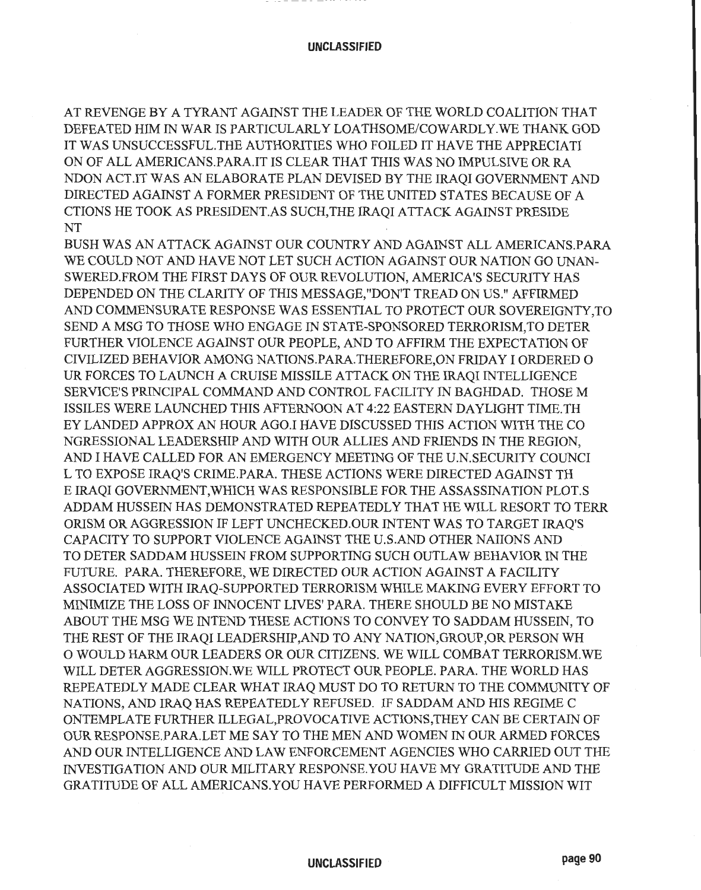. .. - -. -. -- - -.. --- ---- -- -- - --- -- -- -

AT REVENGE BY A TYRANT AGAINST THE LEADER OF THE WORLD COALITION THAT DEFEATED HIM IN WAR IS PARTICULARLY LOATHSOME/COWARDLY. WE THANK GOD IT WAS UNSUCCESSFUL. THE AUTHORITIES WHO FOILED IT HAVE THE APPRECIATI ON OF ALL AMERICANS.PARA.IT IS CLEAR THAT THIS WAS NO IMPULSIVE OR RA NDON ACT.IT WAS AN ELABORATE PLAN DEVISED BY THE IRAQI GOVERNMENT AND DIRECTED AGAINST A FORMER PRESIDENT OF THE UNITED STATES BECAUSE OF A CTIONS HE TOOK AS PRESIDENT.AS SUCH, THE IRAQI ATTACK AGAINST PRESIDE NT

BUSH WAS AN ATTACK AGAINST OUR COUNTRY AND AGAINST ALL AMERICANS.PARA WE COULD NOT AND HAVE NOT LET SUCH ACTION AGAINST OUR NATION GO UNAN-SWERED.FROM THE FIRST DAYS OF OUR REVOLUTION, AMERICA'S SECURITY HAS DEPENDED ON THE CLARITY OF THIS MESSAGE,"DON'T TREAD ON US." AFFIRMED AND COMMENSURATE RESPONSE WAS ESSENTIAL TO PROTECT OUR SOVEREIGNTY,TO SEND A MSG TO THOSE WHO ENGAGE IN STATE-SPONSORED TERRORISM, TO DETER FURTHER VIOLENCE AGAINST OUR PEOPLE, AND TO AFFIRM THE EXPECTATION OF CIVILIZED BEHAVIOR AMONG NATIONS.PARA. THEREFORE, ON FRIDAY I ORDERED 0 UR FORCES TO LAUNCH A CRUISE MISSILE ATTACK ON THE IRAQI INTELLIGENCE SERVICE'S PRINCIPAL COMMAND AND CONTROL FACILITY IN BAGHDAD. THOSE M ISSILES WERE LAUNCHED THIS AFTERNOON AT 4:22 EASTERN DAYLIGHT TIME.TH EY LANDED APPROX AN HOUR AGO.I HAVE DISCUSSED THIS ACTION WITH THE CO NGRESSIONAL LEADERSHIP AND WITH OUR ALLIES AND FRIENDS IN THE REGION, AND I HAVE CALLED FOR AN EMERGENCY MEETING OF THE U.N. SECURITY COUNCI L TO EXPOSE IRAQ'S CRIME.PARA. THESE ACTIONS WERE DIRECTED AGAINST TH E IRAQI GOVERNMENT,WHICH WAS RESPONSIBLE FOR THE ASSASSINATION PLOT.S ADDAM HUSSEIN HAS DEMONSTRATED REPEATEDLY THAT HE WILL RESORT TO TERR ORISM OR AGGRESSION IF LEFT UNCHECKED.OUR INTENT WAS TO TARGET IRAQ'S CAPACITY TO SUPPORT VIOLENCE AGAINST THE U.S.AND OTHER NAIIONS AND TO DETER SADDAM HUSSEIN FROM SUPPORTING SUCH OUTLAW BEHAVIOR IN THE FUTURE. PARA. THEREFORE, WE DIRECTED OUR ACTION AGAINST A FACILITY ASSOCIATED WITH IRAQ-SUPPORTED TERRORISM WHILE MAKING EVERY EFFORT TO MINIMIZE THE LOSS OF INNOCENT LIVES' PARA. THERE SHOULD BE NO MISTAKE ABOUT THE MSG WE INTEND THESE ACTIONS TO CONVEY TO SADDAM HUSSEIN, TO THE REST OF THE IRAQI LEADERSHIP,AND TO ANY NATION,GROUP,OR PERSON WH 0 WOULD HARM OUR LEADERS OR OUR CITIZENS. WE WILL COMBAT TERRORISM.WE WILL DETER AGGRESSION.WE WILL PROTECT OUR PEOPLE. PARA. THE WORLD HAS REPEATEDLY MADE CLEAR WHAT IRAQ MUST DO TO RETURN TO THE COMMUNITY OF NATIONS, AND IRAQ HAS REPEATEDLY REFUSED. IF SADDAM AND HIS REGIME C ONTEMPLATE FURTHER ILLEGAL,PROVOCATIVE ACTIONS, THEY CAN BE CERTAIN OF OUR RESPONSE. PARA.LET ME SAY TO THE MEN AND WOMEN IN OUR ARMED FORCES AND OUR INTELLIGENCE AND LAW ENFORCEMENT AGENCIES WHO CARRIED OUT THE INVESTIGATION AND OUR MILITARY RESPONSE. YOU HAVE MY GRATITUDE AND THE GRATITUDE OF ALL AMERICANS. YOU HAVE PERFORMED A DIFFICULT MISSION WIT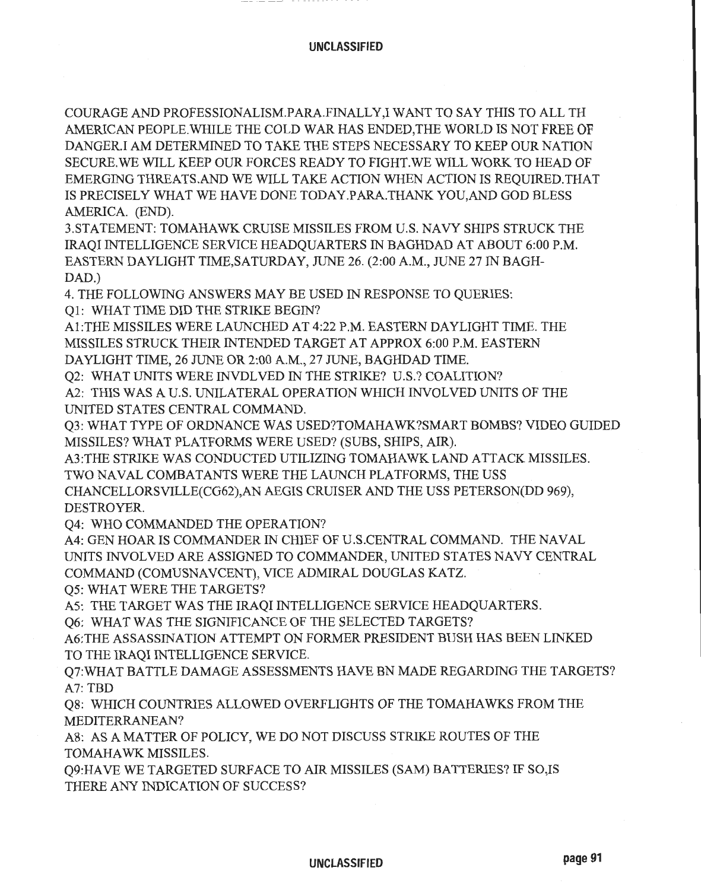COURAGE AND PROFESSIONALISM.PARA.FINALLY,I WANT TO SAY THIS TO ALL TH AMERICAN PEOPLE. WHILE THE COLD WAR HAS ENDED,THE WORLD IS NOT FREE OF DANGER.! AM DETERMINED TO TAKE THE STEPS NECESSARY TO KEEP OUR NATION SECURE. WE WILL KEEP OUR FORCES READY TO FIGHT. WE WILL WORK TO HEAD OF EMERGING THREATS.AND WE WILL TAKE ACTION WHEN ACTION IS REQUIRED. THAT IS PRECISELY WHAT WE HAVE DONE TODAY.PARA.THANK YOU, AND GOD BLESS AMERICA. (END).

3.STATEMENT: TOMAHAWK CRUISE MISSILES FROM U.S. NAVY SHIPS STRUCK THE IRAQI INTELLIGENCE SERVICE HEADQUARTERS IN BAGHDAD AT ABOUT 6:00 P.M. EASTERN DAYLIGHT TIME, SATURDAY, JUNE 26. (2:00 A.M., JUNE 27 IN BAGH-DAD.)

4. THE FOLLOWING ANSWERS MAY BE USED IN RESPONSE TO QUERIES:

Ql: WHAT TIME DID THE STRIKE BEGIN?

Al:THE MISSILES WERE LAUNCHED AT 4:22P.M. EASTERN DAYLIGHT TIME. THE MISSILES STRUCK THEIR INTENDED TARGET AT APPROX 6:00P.M. EASTERN DAYLIGHT TIME, 26 JUNE OR 2:00 A.M., 27 JUNE, BAGHDAD TIME.

Q2: WHAT UNITS WERE INVDLVED IN THE STRIKE? U.S.? COALITION?

A2: THIS WAS A U.S. UNILATERAL OPERATION WHICH INVOLVED UNITS OF THE UNITED STATES CENTRAL COMMAND.

Q3: WHAT TYPE OF ORDNANCE WAS USED?TOMAHA WK?SMART BOMBS? VIDEO GUIDED MISSILES? WHAT PLATFORMS WERE USED? (SUBS, SHIPS, AIR).

A3:THE STRIKE WAS CONDUCTED UTILIZING TOMAHAWK LAND ATTACK MISSILES. TWO NAVAL COMBATANTS WERE THE LAUNCH PLATFORMS, THE USS CHANCELLORSVILLE(CG62),AN AEGIS CRUISER AND THE USS PETERSON(DD 969), DESTROYER.

Q4: WHO COMMANDED THE OPERATION?

A4: GEN HOAR IS COMMANDER IN CHIEF OF U.S. CENTRAL COMMAND. THE NAVAL UNITS INVOLVED ARE ASSIGNED TO COMMANDER, UNITED STATES NAVY CENTRAL COMMAND (COMUSNAVCENT), VICE ADMIRAL DOUGLAS KATZ.

Q5: WHAT WERE THE TARGETS?

A5: THE TARGET WAS THE IRAQI INTELLIGENCE SERVICE HEADQUARTERS.

Q6: WHAT WAS THE SIGNIFICANCE OF THE SELECTED TARGETS?

A6:THE ASSASSINATION ATTEMPT ON FORMER PRESIDENT BUSH HAS BEEN LINKED TO THE IRAQI INTELLIGENCE SERVICE.

. Q7:WHAT BATTLE DAMAGE ASSESSMENTS HAVE BN MADE REGARDING THE TARGETS? A7: TBD

Q8: WHICH COUNTRIES ALLOWED OVERFLIGHTS OF THE TOMAHAWKS FROM THE MEDITERRANEAN?

A8: AS A MATTER OF POLICY, WE DO NOT DISCUSS STRIKE ROUTES OF THE TOMAHAWK MISSILES.

Q9:HA VE WE TARGETED SURF ACE TO AIR MISSILES (SAM) BATTERIES? IF SO,IS THERE ANY INDICATION OF SUCCESS?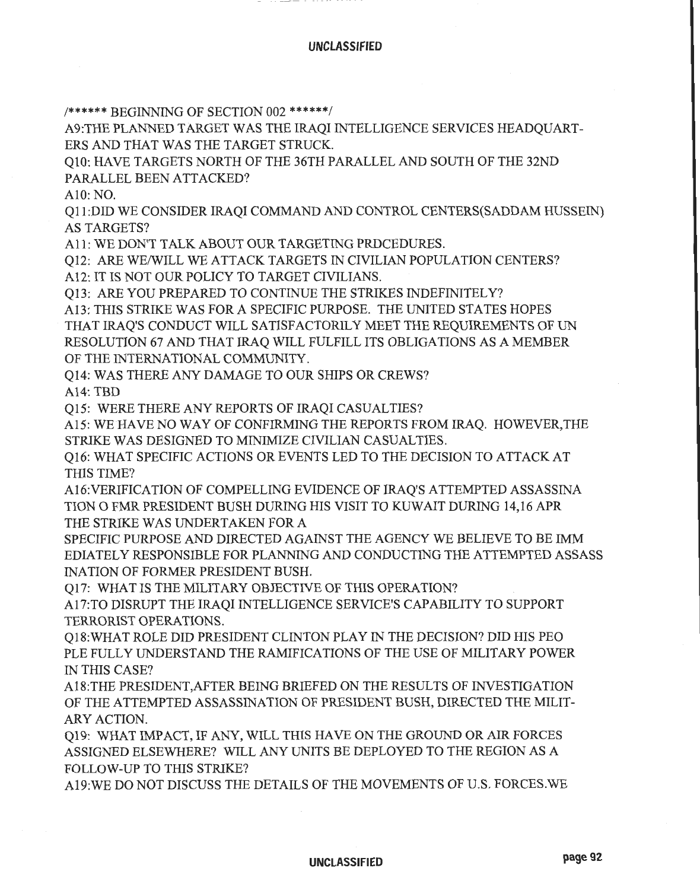/\*\*\*\*\*\* BEGINNING OF SECTION 002 \*\*\*\*\*\*/

A9:THE PLANNED TARGET WAS THE IRAQI INTELLIGENCE SERVICES HEADQUART-ERS AND THAT WAS THE TARGET STRUCK.

QlO: HAVE TARGETS NORTH OF THE 36TH PARALLEL AND SOUTH OF THE 32ND PARALLEL BEEN ATTACKED?

AlO: NO.

Qll :DID WE CONSIDER IRAQI COMMAND AND CONTROL CENTERS(SADDAM HUSSEIN) AS TARGETS?

All: WE DON'T TALK ABOUT OUR TARGETING PROCEDURES.

Ql2: ARE WE/WILL WE ATTACK TARGETS IN CIVILIAN POPULATION CENTERS? Al2: IT IS NOT OUR POLICY TO TARGET CIVILIANS.

Ql3: ARE YOU PREPARED TO CONTINUE THE STRIKES INDEFINITELY?

Al3: THIS STRIKE WAS FORA SPECIFIC PURPOSE. THE UNITED STATES HOPES THAT IRAQ'S CONDUCT WILL SATISFACTORILY MEET THE REQUIREMENTS OF UN RESOLUTION 67 AND THAT IRAQ WILL FULFILL ITS OBLIGATIONS AS A MEMBER OF THE INTERNATIONAL COMMUNITY.

Ql4: WAS THERE ANY DAMAGE TO OUR SHIPS OR CREWS?

A14: TBD

Ql5: WERE THERE ANY REPORTS OF IRAQI CASUALTIES?

Al5: WE HAVE NO WAY OF CONFIRMING THE REPORTS FROM IRAQ. HOWEVER,THE STRIKE WAS DESIGNED TO MINIMIZE CIVILIAN CASUALTIES.

Q16: WHAT SPECIFIC ACTIONS OR EVENTS LED TO THE DECISION TO ATTACK AT THIS TIME?

Al6:VERIFICATION OF COMPELLING EVIDENCE OF IRAQ'S ATTEMPTED ASSASSINA TION 0 FMR PRESIDENT BUSH DURING HIS VISIT TO KUWAIT DURING 14,16 APR THE STRIKE WAS UNDERTAKEN FOR A

SPECIFIC PURPOSE AND DIRECTED AGAINST THE AGENCY WE BELIEVE TO BE IMM EDIATELY RESPONSIBLE FOR PLANNING AND CONDUCTING THE ATTEMPTED ASSASS INATION OF FORMER PRESIDENT BUSH.

Q17: WHAT IS THE MILITARY OBJECTIVE OF THIS OPERATION?

A17:TO DISRUPT THE IRAQI INTELLIGENCE SERVICE'S CAP ABILITY TO SUPPORT TERRORIST OPERATIONS.

Q18:WHAT ROLE DID PRESIDENT CLINTON PLAY IN THE DECISION? DID HIS PEO PLE FULLY UNDERSTAND THE RAMIFICATIONS OF THE USE OF MILITARY POWER IN THIS CASE?

A18:THE PRESIDENT,AFTER BEING BRIEFED ON THE RESULTS OF INVESTIGATION OF THE ATTEMPTED ASSASSINATION OF PRESIDENT BUSH, DIRECTED THE MILIT-ARY ACTION.

Q19: WHAT IMPACT, IF ANY, WILL THIS HAVE ON THE GROUND OR AIR FORCES ASSIGNED ELSEWHERE? WILL ANY UNITS BE DEPLOYED TO THE REGION AS A FOLLOW-UP TO THIS STRIKE?

A19:WE DO NOT DISCUSS THE DETAILS OF THE MOVEMENTS OF U.S. FORCES.WE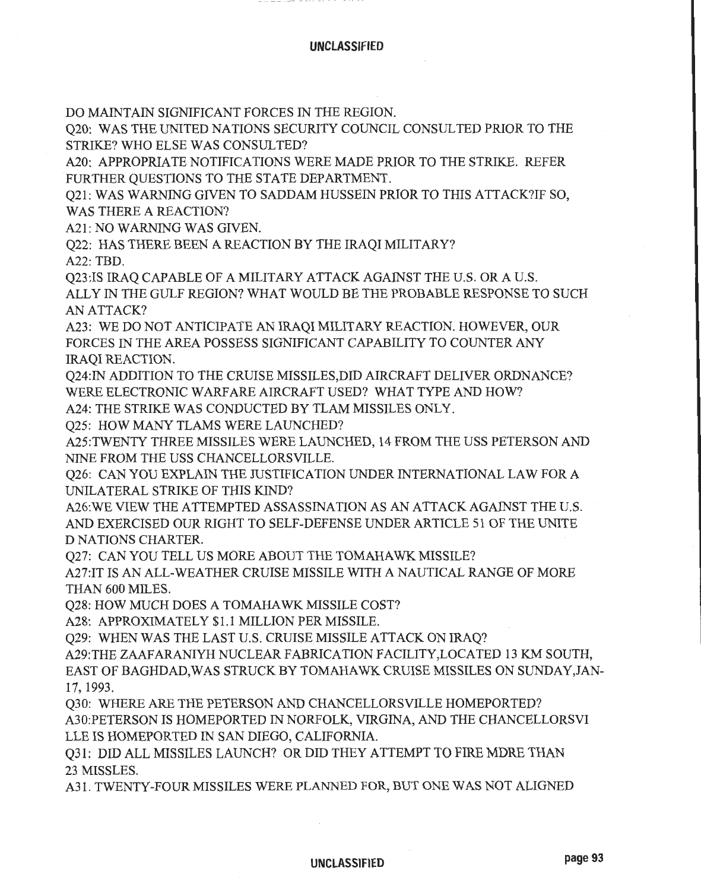DO MAINTAIN SIGNIFICANT FORCES IN THE REGION.

Q20: WAS THE UNITED NATIONS SECURITY COUNCIL CONSULTED PRIOR TO THE STRIKE? WHO ELSE WAS CONSULTED?

A20: APPROPRIATE NOTIFICATIONS WERE MADE PRIOR TO THE STRIKE. REFER FURTHER QUESTIONS TO THE STATE DEPARTMENT.

Q21: WAS WARNING GIVEN TO SADDAM HUSSEIN PRIOR TO THIS ATTACK?IF SO, WAS THERE A REACTION?

A21: NO WARNING WAS GIVEN.

Q22: HAS THERE BEEN A REACTION BY THE IRAQI MILITARY?

A22: TBD.

Q23:IS IRAQ CAPABLE OF A MILITARY ATTACK AGAINST THE U.S. OR A U.S. ALLY IN THE GULF REGION? WHAT WOULD BE THE PROBABLE RESPONSE TO SUCH AN ATTACK?

A23: WE DO NOT ANTICIPATE AN IRAQI MILITARY REACTION. HOWEVER, OUR FORCES IN THE AREA POSSESS SIGNIFICANT CAPABILITY TO COUNTER ANY IRAQI REACTION.

Q24:IN ADDITION TO THE CRUISE MISSILES,DID AIRCRAFT DELIVER ORDNANCE? WERE ELECTRONIC WARFARE AIRCRAFT USED? WHAT TYPE AND HOW?

A24: THE STRIKE WAS CONDUCTED BY TLAM MISSILES ONLY.

Q25: HOW MANY TLAMS WERE LAUNCHED?

A25:TWENTY THREE MISSILES WERE LAUNCHED, 14 FROM THE USS PETERSON AND NINE FROM THE USS CHANCELLORSVILLE.

O26: CAN YOU EXPLAIN THE JUSTIFICATION UNDER INTERNATIONAL LAW FOR A UNILATERAL STRIKE OF THIS KIND?

A26:WE VIEW THE ATTEMPTED ASSASSINATION AS AN ATTACK AGAINST THE U.S. AND EXERCISED OUR RIGHT TO SELF-DEFENSE UNDER ARTICLE 51 OF THE UNITE DNATIONS CHARTER.

Q27: CAN YOU TELL US MORE ABOUT THE TOMAHAWK MISSILE?

A27:IT IS AN ALL-WEATHER CRUISE MISSILE WITH A NAUTICAL RANGE OF MORE THAN 600 MILES.

Q28: HOW MUCH DOES A TOMAHAWK MISSILE COST?

A28: APPROXIMATELY \$1.1 MILLION PER MISSILE.

Q29: WHEN WAS THE LAST U.S. CRUISE MISSILE ATTACK ON IRAQ?

A29:THE ZAAFARANIYH NUCLEAR FABRICATION FACILITY,LOCATED 13 KM SOUTH, EAST OF BAGHDAD, WAS STRUCK BY TOMAHAWK CRUISE MISSILES ON SUNDAY,JAN-17, 1993.

Q30: WHERE ARE THE PETERSON AND CHANCELLORSVILLE HOMEPORTED? A30:PETERSON IS HOMEPORTED IN NORFOLK, VIRGINA, AND THE CHANCELLORSVI LLE IS HOMEPORTED IN SAN DIEGO, CALIFORNIA.

Q31: DID ALL MISSILES LAUNCH? OR DID THEY ATTEMPT TO FIRE MDRE THAN 23 MISSLES.

A31. TWENTY-FOUR MISSILES WERE PLANNED FOR, BUT ONE WAS NOT ALIGNED